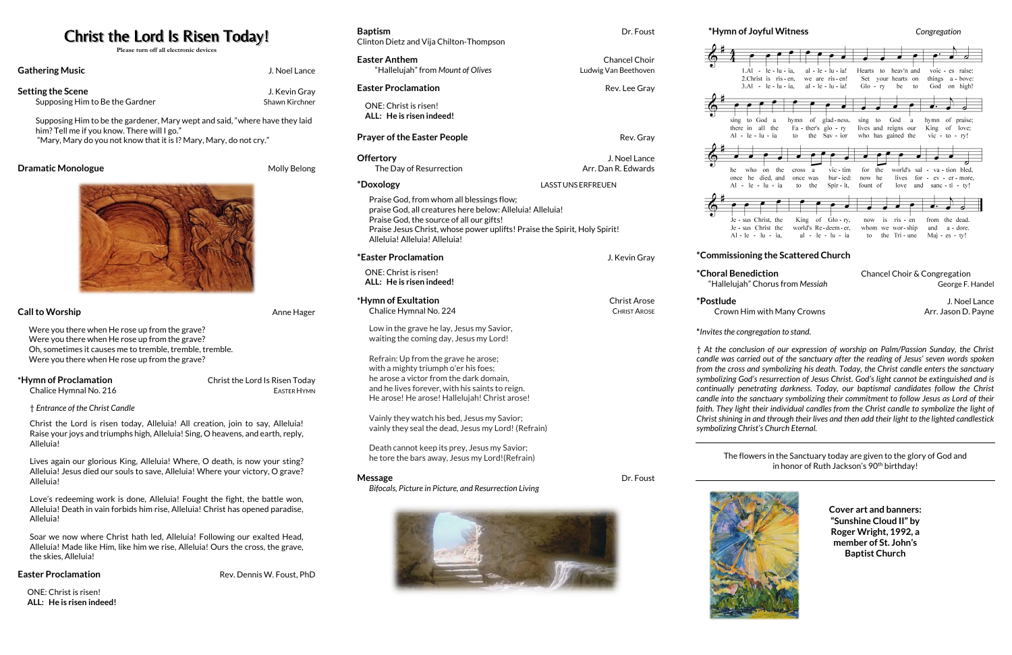## Christ the Lord Is Risen Today!

**Please turn off all electronic devices**

| <b>Gathering Music</b>                                                      | J. Noel Lance  | Easte<br>$\mathfrak{a}$ |
|-----------------------------------------------------------------------------|----------------|-------------------------|
| Setting the Scene                                                           | J. Kevin Gray  | Easte                   |
| Supposing Him to Be the Gardner                                             | Shawn Kirchner | ON                      |
| Supposing Him to be the gardener, Mary wept and said, "where have they laid |                | <b>ALL</b>              |
| him? Tell me if you know. There will I go."                                 |                |                         |
| "Mary, Mary do you not know that it is I? Mary, Mary, do not cry."          |                | Praye                   |
|                                                                             |                | ∩ffer                   |

#### **Dramatic Monologue** Molly Belong



### **Call to Worship Call to Worship Anne Hager**

**\*Hymn of Proclamation** Christ the Lord Is Risen Today Chalice Hymnal No. 216 **EASTER HYMN** 

 Were you there when He rose up from the grave? Were you there when He rose up from the grave? Oh, sometimes it causes me to tremble, tremble, tremble. Were you there when He rose up from the grave?

† *Entrance of the Christ Candle*

Christ the Lord is risen today, Alleluia! All creation, join to say, Alleluia! Raise your joys and triumphs high, Alleluia! Sing, O heavens, and earth, reply, Alleluia!

Lives again our glorious King, Alleluia! Where, O death, is now your sting? Alleluia! Jesus died our souls to save, Alleluia! Where your victory, O grave? Alleluia!

Love's redeeming work is done, Alleluia! Fought the fight, the battle won, Alleluia! Death in vain forbids him rise, Alleluia! Christ has opened paradise, Alleluia!

Soar we now where Christ hath led, Alleluia! Following our exalted Head, Alleluia! Made like Him, like him we rise, Alleluia! Ours the cross, the grave, the skies, Alleluia!

**Easter Proclamation Rev. Dennis W. Foust, PhD** 

 ONE: Christ is risen!  **ALL: He is risen indeed!** The flowers in the Sanctuary today are given to the glory of God and in honor of Ruth Jackson's 90<sup>th</sup> birthday!

| <b>Baptism</b><br>Clinton Dietz and Vija Chilton-Thompson                                                                                                                                                                                                        | Dr. Foust                                    |
|------------------------------------------------------------------------------------------------------------------------------------------------------------------------------------------------------------------------------------------------------------------|----------------------------------------------|
| <b>Easter Anthem</b><br>"Hallelujah" from Mount of Olives                                                                                                                                                                                                        | <b>Chancel Choir</b><br>Ludwig Van Beethoven |
| <b>Easter Proclamation</b>                                                                                                                                                                                                                                       | Rev. Lee Gray                                |
| ONE: Christ is risen!<br>ALL: He is risen indeed!                                                                                                                                                                                                                |                                              |
| <b>Prayer of the Easter People</b>                                                                                                                                                                                                                               | Rev. Gray                                    |
| <b>Offertory</b><br>The Day of Resurrection                                                                                                                                                                                                                      | J. Noel Lance<br>Arr. Dan R. Edwards         |
| *Doxology                                                                                                                                                                                                                                                        | <b>LASST UNS ERFREUEN</b>                    |
| Praise God, from whom all blessings flow;<br>praise God, all creatures here below: Alleluia! Alleluia!<br>Praise God, the source of all our gifts!<br>Praise Jesus Christ, whose power uplifts! Praise the Spirit, Holy Spirit!<br>Alleluia! Alleluia! Alleluia! |                                              |
| <b>*Easter Proclamation</b>                                                                                                                                                                                                                                      | J. Kevin Gray                                |
| ONE: Christ is risen!<br>ALL: He is risen indeed!                                                                                                                                                                                                                |                                              |
| *Hymn of Exultation<br>Chalice Hymnal No. 224                                                                                                                                                                                                                    | <b>Christ Arose</b><br><b>CHRIST AROSE</b>   |
| Low in the grave he lay, Jesus my Savior,<br>waiting the coming day, Jesus my Lord!                                                                                                                                                                              |                                              |
| Refrain: Up from the grave he arose;<br>with a mighty triumph o'er his foes;<br>he arose a victor from the dark domain,<br>and he lives forever, with his saints to reign.<br>He arose! He arose! Hallelujah! Christ arose!                                      |                                              |
| Vainly they watch his bed, Jesus my Savior;<br>vainly they seal the dead, Jesus my Lord! (Refrain)                                                                                                                                                               |                                              |
| Death cannot keep its prey, Jesus my Savior;<br>he tore the bars away, Jesus my Lord!(Refrain)                                                                                                                                                                   |                                              |
| Message                                                                                                                                                                                                                                                          | Dr. Foust                                    |

*Bifocals, Picture in Picture, and Resurrection Living*





#### **\*Hymn of Joyful Witness** *Congregation*

#### **\*Commissioning the Scattered Church**

**\*Choral Benediction** Chancel Choir & Congregation

"Hallelujah" Chorus from *Messiah* George F. Handel

Crown Him with Many Crowns **Arr. Jason D. Payne** 

**\*Postlude** J. Noel Lance

**\****Invites the congregation to stand.*

† *At the conclusion of our expression of worship on Palm/Passion Sunday, the Christ candle was carried out of the sanctuary after the reading of Jesus' seven words spoken from the cross and symbolizing his death. Today, the Christ candle enters the sanctuary symbolizing God's resurrection of Jesus Christ. God's light cannot be extinguished and is continually penetrating darkness. Today, our baptismal candidates follow the Christ candle into the sanctuary symbolizing their commitment to follow Jesus as Lord of their faith. They light their individual candles from the Christ candle to symbolize the light of Christ shining in and through their lives and then add their light to the lighted candlestick symbolizing Christ's Church Eternal.* 



**Cover art and banners: "Sunshine Cloud II" by Roger Wright, 1992, a member of St. John's Baptist Church**